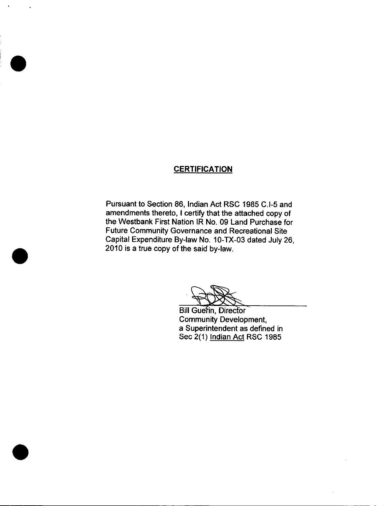## **CERTIFICATION**

Pursuant to Section 86, Indian Act RSC 1985 C.I-5 and amendments thereto, I certify that the attached copy of the Westbank First Nation IR No. 09 Land Purchase for Future Community Governance and Recreational Site Capital Expenditure By -law No. 10 -TX -03 dated July 26, 2010 is a true copy of the said by -law.

**Bill Guerin, Director** Community Development, a Superintendent as defined in Sec 2(1) Indian Act RSC 1985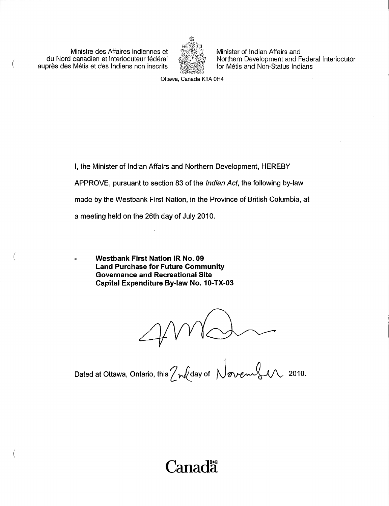Ministre des Affaires indiennes et du Nord canadien et interlocuteur federal aupres des Metis et des Indiens non inscrits

 $\left($ 



Minister of Indian Affairs and Northern Development and Federal Interlocutor for Métis and Non-Status Indians

Ottawa, Canada K1A OH4

I, the Minister of Indian Affairs and Northern Development, HEREBY

APPROVE, pursuant to section 83 of the Indian Act, the following by-law

made by the Westbank First Nation, in the Province of British Columbia, at

a meeting held on the 26th day of July 2010.

Westbank First Nation IR No. 09 Land Purchase for Future Community Governance and Recreational Site Capital Expenditure By-law No. 10-TX-03

Dated at Ottawa, Ontario, this /  $\mathcal{W}$ day of  $\ \bigwedge_{\mathcal{W}}$   $\mathcal{W}$   $\mathcal{W}$  2010.

# **Canada**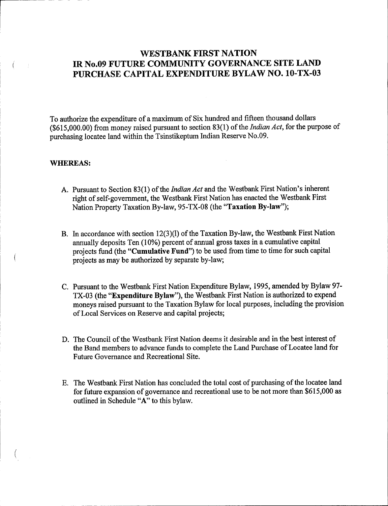# WESTBANK FIRST NATION IR No.09 FUTURE COMMUNITY GOVERNANCE SITE LAND PURCHASE CAPITAL EXPENDITURE BYLAW NO. 10-TX-03

To authorize the expenditure of a maximum of Six hundred and fifteen thousand dollars  $($615,000.00)$  from money raised pursuant to section  $83(1)$  of the *Indian Act*, for the purpose of purchasing locatee land within the Tsinstikeptum Indian Reserve No. 09.

#### WHEREAS:

 $\left($ 

- A. Pursuant to Section 83(1) of the *Indian Act* and the Westbank First Nation's inherent right of self-government, the Westbank First Nation has enacted the Westbank First Nation Property Taxation By-law, 95-TX-08 (the "Taxation By-law");
- B. In accordance with section 12(3)(1) of the Taxation By-law, the Westbank First Nation annually deposits Ten (10%) percent of annual gross taxes in a cumulative capital projects fund (the "Cumulative Fund") to be used from time to time for such capital projects as may be authorized by separate by -law;
- C. Pursuant to the Westbank First Nation Expenditure Bylaw, 1995, amended by Bylaw 97- TX-03 (the "Expenditure Bylaw"), the Westbank First Nation is authorized to expend moneys raised pursuant to the Taxation Bylaw for local purposes, including the provision of Local Services on Reserve and capital projects;
- D. The Council of the Westbank First Nation deems it desirable and in the best interest of the Band members to advance funds to complete the Land Purchase of Locatee land for Future Governance and Recreational Site.
- E. The Westbank First Nation has concluded the total cost of purchasing of the locatee land for future expansion of governance and recreational use to be not more than \$615,000 as outlined in Schedule "A" to this bylaw.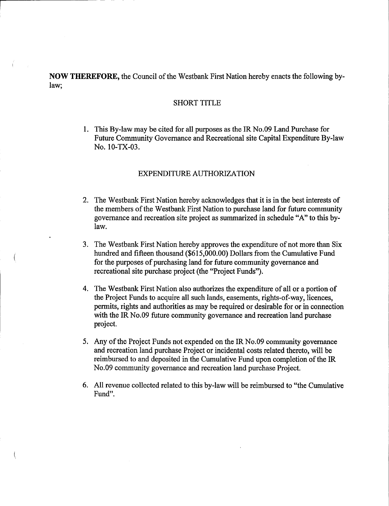NOW THEREFORE, the Council of the Westbank First Nation hereby enacts the following bylaw;

## SHORT TITLE

1. This By -law may be cited for all purposes as the IR No.09 Land Purchase for Future Community Governance and Recreational site Capital Expenditure By -law No. 10-TX-03.

## EXPENDITURE AUTHORIZATION

- 2. The Westbank First Nation hereby acknowledges that it is in the best interests of the members of the Westbank First Nation to purchase land for future community governance and recreation site project as summarized in schedule " A" to this bylaw.
- 3. The Westbank First Nation hereby approves the expenditure of not more than Six hundred and fifteen thousand (\$615,000.00) Dollars from the Cumulative Fund for the purposes of purchasing land for future community governance and recreational site purchase project (the "Project Funds").
- 4. The Westbank First Nation also authorizes the expenditure of all or <sup>a</sup> portion of the Project Funds to acquire all such lands, easements, rights -of -way, licences, permits, rights and authorities as may be required or desirable for or in connection with the IR No.09 future community governance and recreation land purchase project.
- 5. Any of the Project Funds not expended on the IR No.09 community governance and recreation land purchase Project or incidental costs related thereto, will be reimbursed to and deposited in the Cumulative Fund upon completion of the IR No.09 community governance and recreation land purchase Project.
- 6. All revenue collected related to this by -law will be reimbursed to " the Cumulative Fund".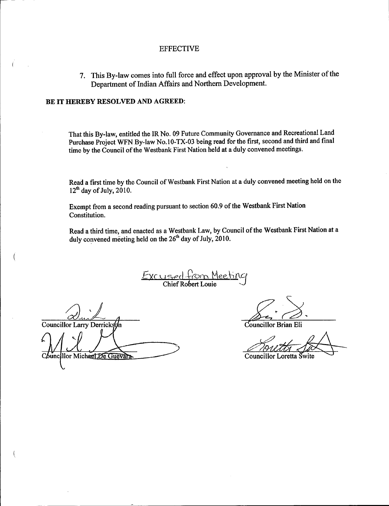#### EFFECTIVE

7. This By-law comes into full force and effect upon approval by the Minister of the Department of Indian Affairs and Northern Development.

#### BE IT HEREBY RESOLVED AND AGREED:

That this By -law, entitled the IR No. 09 Future Community Governance and Recreational Land Purchase Project WFN By-law No.10-TX-03 being read for the first, second and third and final time by the Council of the Westbank First Nation held at a duly convened meetings.

Read a first time by the Council of Westbank First Nation at a duly convened meeting held on the  $12<sup>th</sup>$  day of July, 2010.

Exempt from <sup>a</sup> second reading pursuant to section 60.9 of the Westbank First Nation Constitution.

Read <sup>a</sup> third time, and enacted as <sup>a</sup> Westbank Law, by Council of the Westbank First Nation at <sup>a</sup> duly convened meeting held on the 26<sup>th</sup> day of July, 2010.

<u>Excused</u> from Meeting Chief Robert Louie  $\qquad \qquad \bigcup$ 

Councillor Larry Derrickson Councillor Michael De Guevara

Councillor Brian Eli

Councillor Loretta